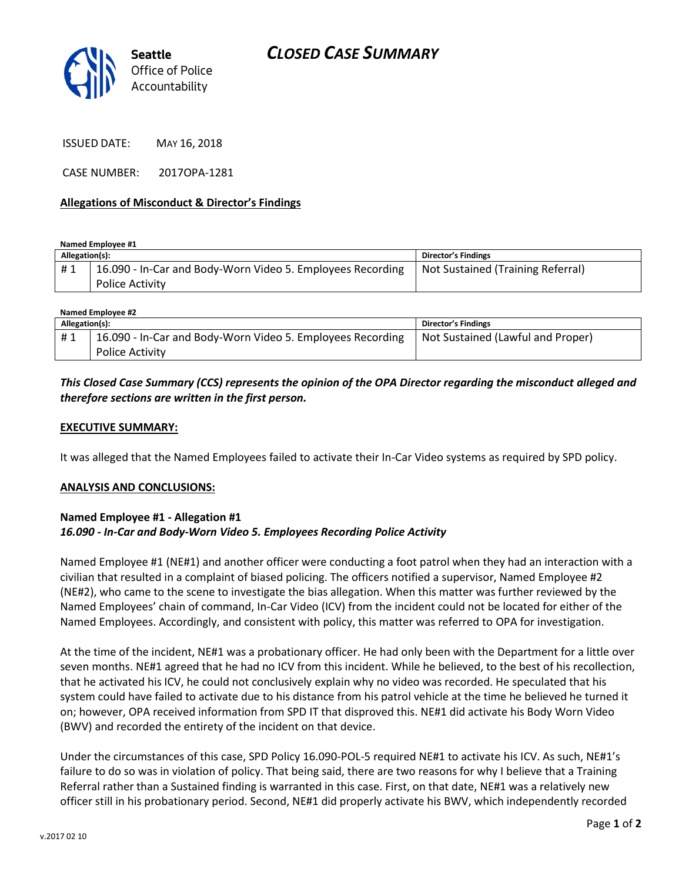

ISSUED DATE: MAY 16, 2018

CASE NUMBER: 2017OPA-1281

#### **Allegations of Misconduct & Director's Findings**

**Named Employee #1**

| Allegation(s): |                                                                                      | Director's Findings               |
|----------------|--------------------------------------------------------------------------------------|-----------------------------------|
| #1             | 16.090 - In-Car and Body-Worn Video 5. Employees Recording<br><b>Police Activity</b> | Not Sustained (Training Referral) |

| Named Employee #2 |                                                            |                                   |  |
|-------------------|------------------------------------------------------------|-----------------------------------|--|
| Allegation(s):    |                                                            | Director's Findings               |  |
| #1                | 16.090 - In-Car and Body-Worn Video 5. Employees Recording | Not Sustained (Lawful and Proper) |  |
|                   | <b>Police Activity</b>                                     |                                   |  |

# *This Closed Case Summary (CCS) represents the opinion of the OPA Director regarding the misconduct alleged and therefore sections are written in the first person.*

#### **EXECUTIVE SUMMARY:**

It was alleged that the Named Employees failed to activate their In-Car Video systems as required by SPD policy.

#### **ANALYSIS AND CONCLUSIONS:**

#### **Named Employee #1 - Allegation #1** *16.090 - In-Car and Body-Worn Video 5. Employees Recording Police Activity*

Named Employee #1 (NE#1) and another officer were conducting a foot patrol when they had an interaction with a civilian that resulted in a complaint of biased policing. The officers notified a supervisor, Named Employee #2 (NE#2), who came to the scene to investigate the bias allegation. When this matter was further reviewed by the Named Employees' chain of command, In-Car Video (ICV) from the incident could not be located for either of the Named Employees. Accordingly, and consistent with policy, this matter was referred to OPA for investigation.

At the time of the incident, NE#1 was a probationary officer. He had only been with the Department for a little over seven months. NE#1 agreed that he had no ICV from this incident. While he believed, to the best of his recollection, that he activated his ICV, he could not conclusively explain why no video was recorded. He speculated that his system could have failed to activate due to his distance from his patrol vehicle at the time he believed he turned it on; however, OPA received information from SPD IT that disproved this. NE#1 did activate his Body Worn Video (BWV) and recorded the entirety of the incident on that device.

Under the circumstances of this case, SPD Policy 16.090-POL-5 required NE#1 to activate his ICV. As such, NE#1's failure to do so was in violation of policy. That being said, there are two reasons for why I believe that a Training Referral rather than a Sustained finding is warranted in this case. First, on that date, NE#1 was a relatively new officer still in his probationary period. Second, NE#1 did properly activate his BWV, which independently recorded